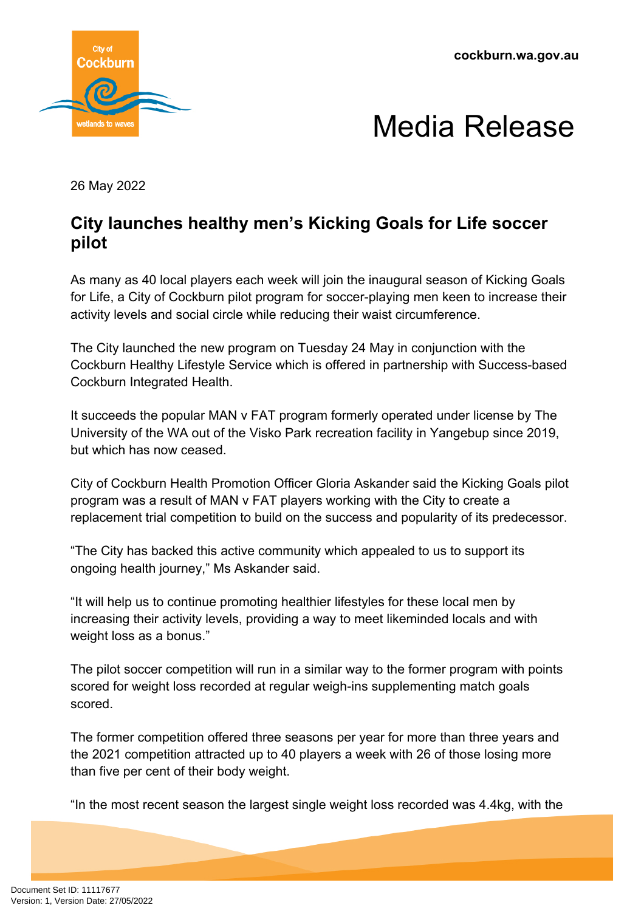**cockburn.wa.gov.au**





26 May 2022

## **City launches healthy men's Kicking Goals for Life soccer pilot**

As many as 40 local players each week will join the inaugural season of Kicking Goals for Life, a City of Cockburn pilot program for soccer-playing men keen to increase their activity levels and social circle while reducing their waist circumference.

The City launched the new program on Tuesday 24 May in conjunction with the Cockburn Healthy Lifestyle Service which is offered in partnership with Success-based Cockburn Integrated Health.

It succeeds the popular MAN v FAT program formerly operated under license by The University of the WA out of the Visko Park recreation facility in Yangebup since 2019, but which has now ceased.

City of Cockburn Health Promotion Officer Gloria Askander said the Kicking Goals pilot program was a result of MAN v FAT players working with the City to create a replacement trial competition to build on the success and popularity of its predecessor.

"The City has backed this active community which appealed to us to support its ongoing health journey," Ms Askander said.

"It will help us to continue promoting healthier lifestyles for these local men by increasing their activity levels, providing a way to meet likeminded locals and with weight loss as a bonus."

The pilot soccer competition will run in a similar way to the former program with points scored for weight loss recorded at regular weigh-ins supplementing match goals scored.

The former competition offered three seasons per year for more than three years and the 2021 competition attracted up to 40 players a week with 26 of those losing more than five per cent of their body weight.

"In the most recent season the largest single weight loss recorded was 4.4kg, with the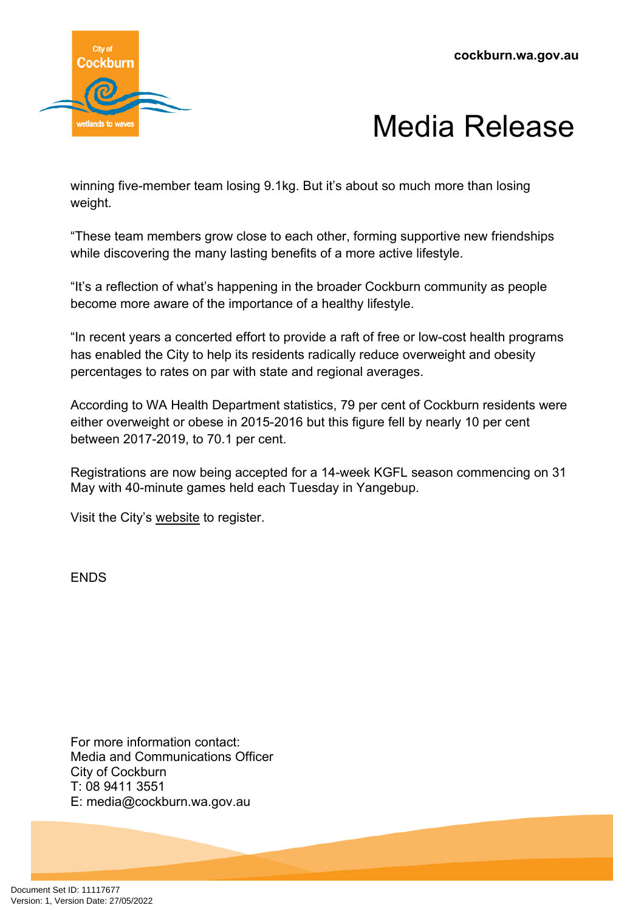

## Media Release

winning five-member team losing 9.1kg. But it's about so much more than losing weight.

"These team members grow close to each other, forming supportive new friendships while discovering the many lasting benefits of a more active lifestyle.

"It's a reflection of what's happening in the broader Cockburn community as people become more aware of the importance of a healthy lifestyle.

"In recent years a concerted effort to provide a raft of free or low-cost health programs has enabled the City to help its residents radically reduce overweight and obesity percentages to rates on par with state and regional averages.

According to WA Health Department statistics, 79 per cent of Cockburn residents were either overweight or obese in 2015-2016 but this figure fell by nearly 10 per cent between 2017-2019, to 70.1 per cent.

Registrations are now being accepted for a 14-week KGFL season commencing on 31 May with 40-minute games held each Tuesday in Yangebup.

Visit the City's [website](https://www.cockburn.wa.gov.au/Community-and-Business/Health-and-Wellbeing/Man-v-Fat) to register.

ENDS

For more information contact: Media and Communications Officer City of Cockburn T: 08 9411 3551 E: media@cockburn.wa.gov.au